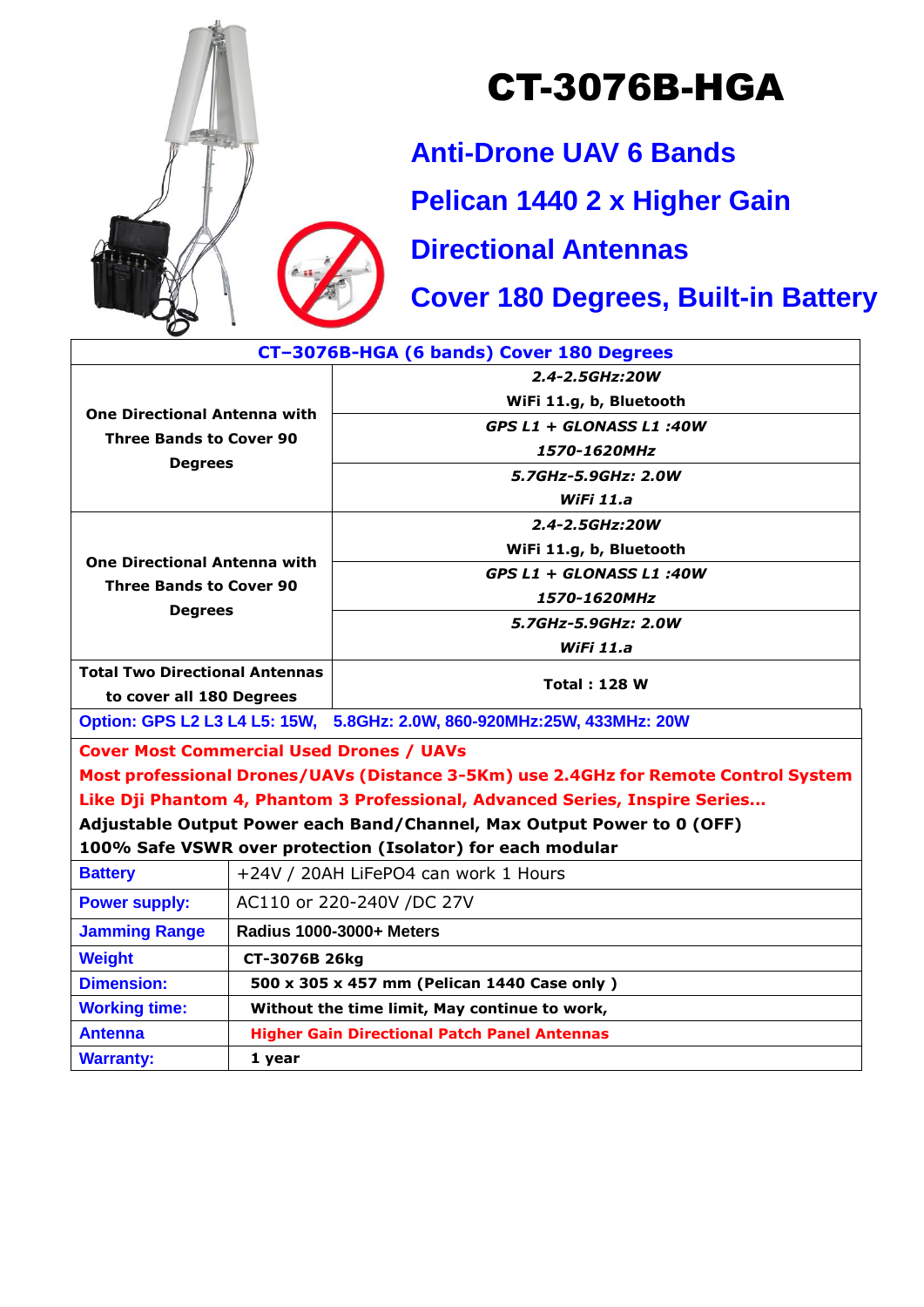

## CT-3076B-HGA

**Anti-Drone UAV 6 Bands**

**Pelican 1440 2 x Higher Gain**

**Directional Antennas**

**Cover 180 Degrees, Built-in Battery**

| CT-3076B-HGA (6 bands) Cover 180 Degrees                                                |                                                     |                          |
|-----------------------------------------------------------------------------------------|-----------------------------------------------------|--------------------------|
|                                                                                         |                                                     | 2.4-2.5GHz:20W           |
| <b>One Directional Antenna with</b><br><b>Three Bands to Cover 90</b><br><b>Degrees</b> |                                                     | WiFi 11.g, b, Bluetooth  |
|                                                                                         |                                                     | GPS L1 + GLONASS L1 :40W |
|                                                                                         |                                                     | 1570-1620MHz             |
|                                                                                         |                                                     | 5.7GHz-5.9GHz: 2.0W      |
|                                                                                         |                                                     | WiFi 11.a                |
| <b>One Directional Antenna with</b><br><b>Three Bands to Cover 90</b><br><b>Degrees</b> |                                                     | $2.4 - 2.5$ GHz:20W      |
|                                                                                         |                                                     | WiFi 11.g, b, Bluetooth  |
|                                                                                         |                                                     | GPS L1 + GLONASS L1 :40W |
|                                                                                         |                                                     | 1570-1620MHz             |
|                                                                                         |                                                     | 5.7GHz-5.9GHz: 2.0W      |
|                                                                                         |                                                     | WiFi 11.a                |
| <b>Total Two Directional Antennas</b>                                                   |                                                     | <b>Total: 128 W</b>      |
| to cover all 180 Degrees                                                                |                                                     |                          |
| Option: GPS L2 L3 L4 L5: 15W, 5.8GHz: 2.0W, 860-920MHz:25W, 433MHz: 20W                 |                                                     |                          |
| <b>Cover Most Commercial Used Drones / UAVs</b>                                         |                                                     |                          |
| Most professional Drones/UAVs (Distance 3-5Km) use 2.4GHz for Remote Control System     |                                                     |                          |
| Like Dji Phantom 4, Phantom 3 Professional, Advanced Series, Inspire Series             |                                                     |                          |
| Adjustable Output Power each Band/Channel, Max Output Power to 0 (OFF)                  |                                                     |                          |
| 100% Safe VSWR over protection (Isolator) for each modular                              |                                                     |                          |
| <b>Battery</b>                                                                          | +24V / 20AH LiFePO4 can work 1 Hours                |                          |
| <b>Power supply:</b>                                                                    | AC110 or 220-240V /DC 27V                           |                          |
| <b>Jamming Range</b>                                                                    | Radius 1000-3000+ Meters                            |                          |
| <b>Weight</b>                                                                           | CT-3076B 26kg                                       |                          |
| <b>Dimension:</b>                                                                       | 500 x 305 x 457 mm (Pelican 1440 Case only)         |                          |
| <b>Working time:</b>                                                                    | Without the time limit, May continue to work,       |                          |
| <b>Antenna</b>                                                                          | <b>Higher Gain Directional Patch Panel Antennas</b> |                          |
| <b>Warranty:</b>                                                                        | 1 year                                              |                          |